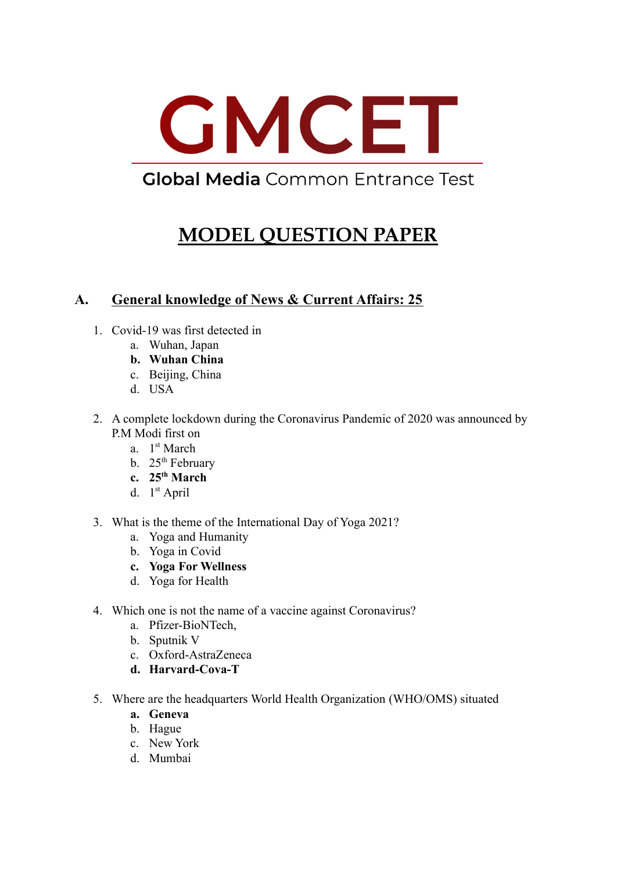

## **Global Media** Common Entrance Test

# **MODEL QUESTION PAPER**

## **A. General knowledge of News & Current Affairs: 25**

- 1. Covid-19 was first detected in
	- a. Wuhan, Japan
	- **b. Wuhan China**
	- c. Beijing, China
	- d. USA
- 2. A complete lockdown during the Coronavirus Pandemic of 2020 was announced by P.M Modi first on
	- a. 1<sup>st</sup> March
	- b.  $25<sup>th</sup>$  February
	- **c. 25th March**
	- d.  $1<sup>st</sup>$  April
- 3. What is the theme of the International Day of Yoga 2021?
	- a. Yoga and Humanity
	- b. Yoga in Covid
	- **c. Yoga For Wellness**
	- d. Yoga for Health
- 4. Which one is not the name of a vaccine against Coronavirus?
	- a. Pfizer-BioNTech,
	- b. Sputnik V
	- c. Oxford-AstraZeneca
	- **d. Harvard-Cova-T**
- 5. Where are the headquarters World Health Organization (WHO/OMS) situated
	- **a. Geneva**
	- b. Hague
	- c. New York
	- d. Mumbai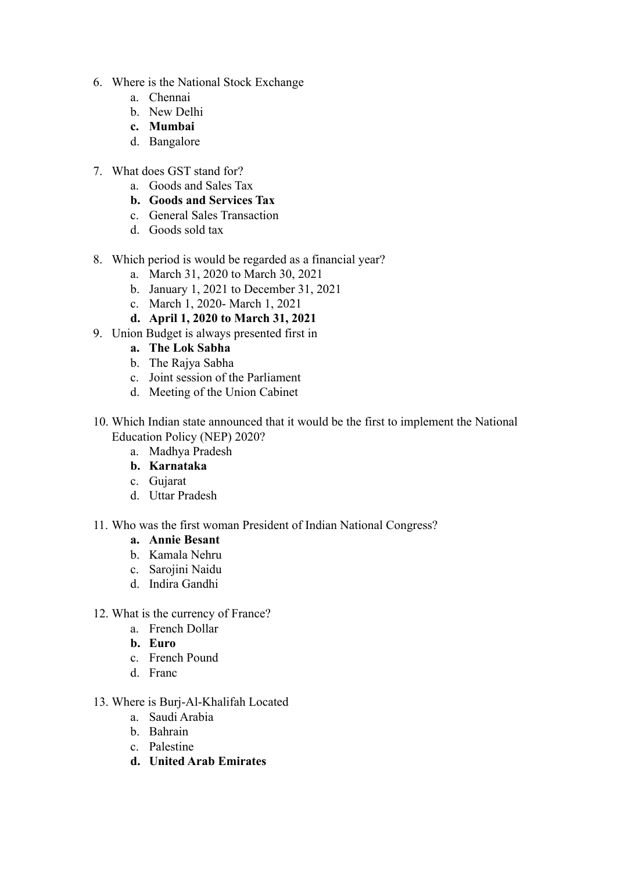- 6. Where is the National Stock Exchange
	- a. Chennai
	- b. New Delhi
	- **c. Mumbai**
	- d. Bangalore
- 7. What does GST stand for?
	- a. Goods and Sales Tax
	- **b. Goods and Services Tax**
	- c. General Sales Transaction
	- d. Goods sold tax
- 8. Which period is would be regarded as a financial year?
	- a. March 31, 2020 to March 30, 2021
	- b. January 1, 2021 to December 31, 2021
	- c. March 1, 2020- March 1, 2021
	- **d. April 1, 2020 to March 31, 2021**
- 9. Union Budget is always presented first in
	- **a. The Lok Sabha**
	- b. The Rajya Sabha
	- c. Joint session of the Parliament
	- d. Meeting of the Union Cabinet
- 10. Which Indian state announced that it would be the first to implement the National Education Policy (NEP) 2020?
	- a. Madhya Pradesh
	- **b. Karnataka**
	- c. Gujarat
	- d. Uttar Pradesh
- 11. Who was the first woman President of Indian National Congress?
	- **a. Annie Besant**
	- b. Kamala Nehru
	- c. Sarojini Naidu
	- d. Indira Gandhi
- 12. What is the currency of France?
	- a. French Dollar
	- **b. Euro**
	- c. French Pound
	- d. Franc
- 13. Where is Burj-Al-Khalifah Located
	- a. Saudi Arabia
	- b. Bahrain
	- c. Palestine
	- **d. United Arab Emirates**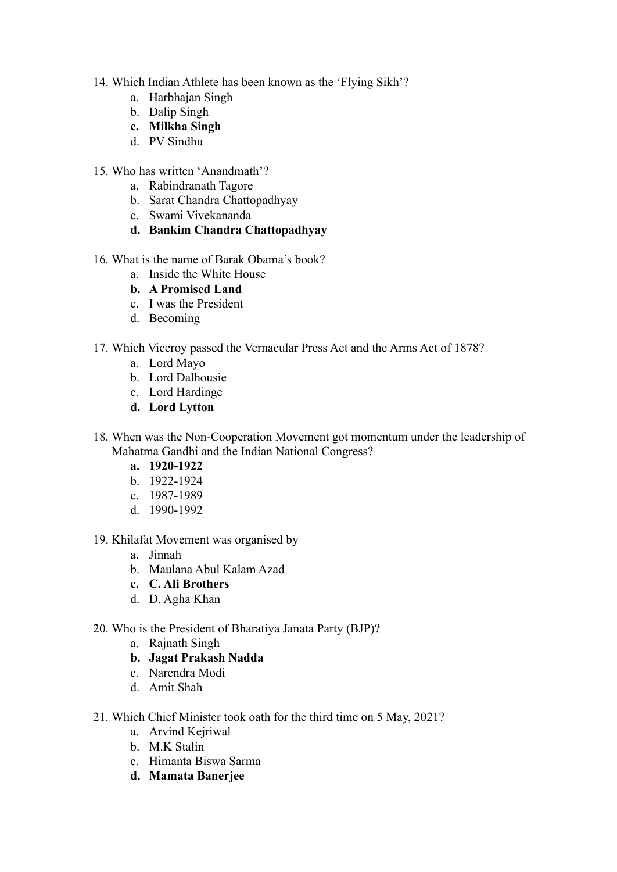- 14. Which Indian Athlete has been known as the 'Flying Sikh'?
	- a. Harbhajan Singh
	- b. Dalip Singh
	- **c. Milkha Singh**
	- d. PV Sindhu
- 15. Who has written 'Anandmath'?
	- a. Rabindranath Tagore
	- b. Sarat Chandra Chattopadhyay
	- c. Swami Vivekananda
	- **d. Bankim Chandra Chattopadhyay**
- 16. What is the name of Barak Obama's book?
	- a. Inside the White House
	- **b. A Promised Land**
	- c. I was the President
	- d. Becoming
- 17. Which Viceroy passed the Vernacular Press Act and the Arms Act of 1878?
	- a. Lord Mayo
	- b. Lord Dalhousie
	- c. Lord Hardinge
	- **d. Lord Lytton**
- 18. When was the Non-Cooperation Movement got momentum under the leadership of Mahatma Gandhi and the Indian National Congress?
	- **a. 1920-1922**
	- b. 1922-1924
	- c. 1987-1989
	- d. 1990-1992
- 19. Khilafat Movement was organised by
	- a. Jinnah
	- b. Maulana Abul Kalam Azad
	- **c. C. Ali Brothers**
	- d. D. Agha Khan
- 20. Who is the President of Bharatiya Janata Party (BJP)?
	- a. Rajnath Singh
	- **b. Jagat Prakash Nadda**
	- c. Narendra Modi
	- d. Amit Shah
- 21. Which Chief Minister took oath for the third time on 5 May, 2021?
	- a. Arvind Kejriwal
	- b. M.K Stalin
	- c. Himanta Biswa Sarma
	- **d. Mamata Banerjee**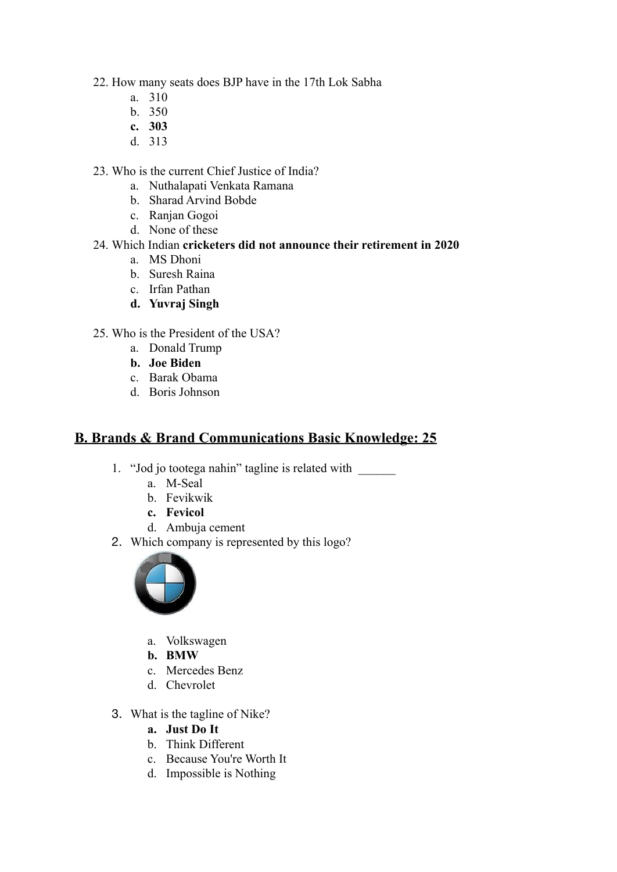- 22. How many seats does BJP have in the 17th Lok Sabha
	- a. 310
	- b. 350
	- **c. 303**
	- d. 313
- 23. Who is the current Chief Justice of India?
	- a. Nuthalapati Venkata Ramana
	- b. Sharad Arvind Bobde
	- c. Ranjan Gogoi
	- d. None of these

## 24. Which Indian **cricketers did not announce their retirement in 2020**

- a. MS Dhoni
- b. Suresh Raina
- c. Irfan Pathan
- **d. Yuvraj Singh**
- 25. Who is the President of the USA?
	- a. Donald Trump
	- **b. Joe Biden**
	- c. Barak Obama
	- d. Boris Johnson

## **B. Brands & Brand Communications Basic Knowledge: 25**

- 1. "Jod jo tootega nahin" tagline is related with \_\_\_\_\_\_
	- a. M-Seal
	- b. Fevikwik
	- **c. Fevicol**
	- d. Ambuja cement
- 2. Which company is represented by this logo?



- a. Volkswagen
- **b. BMW**
- c. Mercedes Benz
- d. Chevrolet
- 3. What is the tagline of Nike?
	- **a. Just Do It**
	- b. Think Different
	- c. Because You're Worth It
	- d. Impossible is Nothing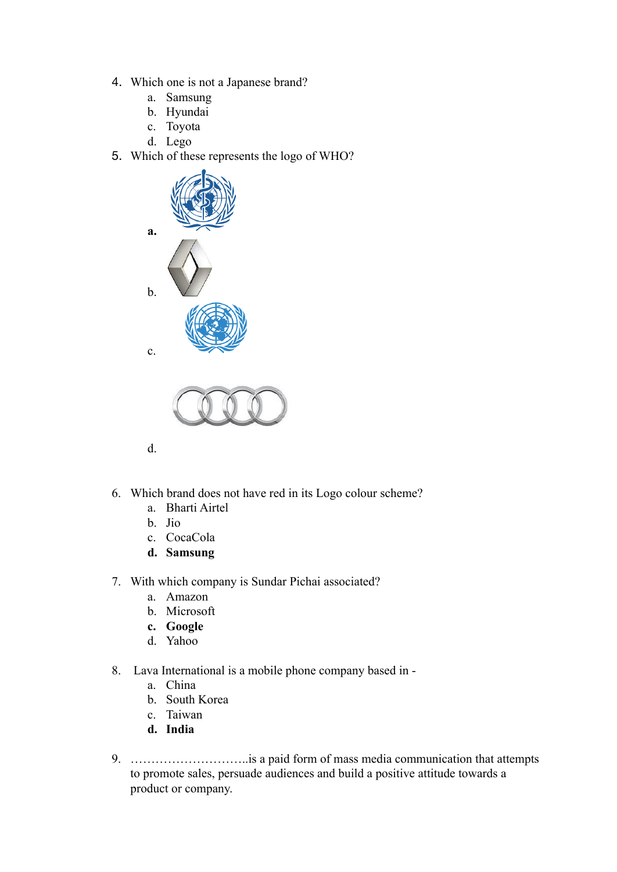- 4. Which one is not a Japanese brand?
	- a. Samsung
	- b. Hyundai
	- c. Toyota
	- d. Lego
- 5. Which of these represents the logo of WHO?





- d.
- 6. Which brand does not have red in its Logo colour scheme?
	- a. Bharti Airtel
	- b. Jio
	- c. CocaCola
	- **d. Samsung**
- 7. With which company is Sundar Pichai associated?
	- a. Amazon
	- b. Microsoft
	- **c. Google**
	- d. Yahoo
- 8. Lava International is a mobile phone company based in
	- a. China
	- b. South Korea
	- c. Taiwan
	- **d. India**
- 9. ………………………..is a paid form of mass media communication that attempts to promote sales, persuade audiences and build a positive attitude towards a product or company.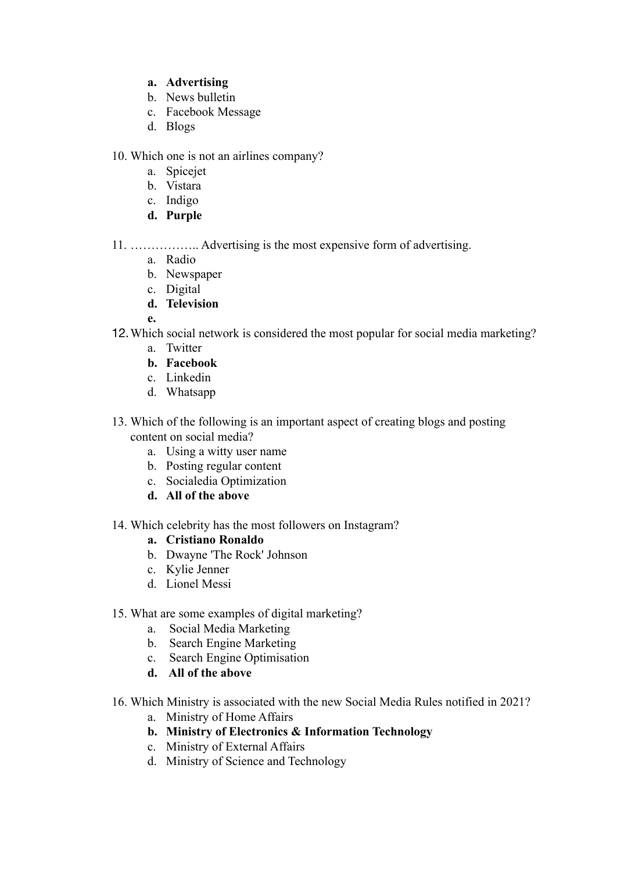## **a. Advertising**

- b. News bulletin
- c. Facebook Message
- d. Blogs

10. Which one is not an airlines company?

- a. Spicejet
- b. Vistara
- c. Indigo
- **d. Purple**
- 11. …………….. Advertising is the most expensive form of advertising.
	- a. Radio
	- b. Newspaper
	- c. Digital
	- **d. Television**

**e.**

- 12.Which social network is considered the most popular for social media marketing?
	- a. Twitter
	- **b. Facebook**
	- c. Linkedin
	- d. Whatsapp
- 13. Which of the following is an important aspect of creating blogs and posting content on social media?
	- a. Using a witty user name
	- b. Posting regular content
	- c. Socialedia Optimization
	- **d. All of the above**
- 14. Which celebrity has the most followers on Instagram?
	- **a. Cristiano Ronaldo**
	- b. Dwayne 'The Rock' Johnson
	- c. Kylie Jenner
	- d. Lionel Messi
- 15. What are some examples of digital marketing?
	- a. Social Media Marketing
	- b. Search Engine Marketing
	- c. Search Engine Optimisation
	- **d. All of the above**
- 16. Which Ministry is associated with the new Social Media Rules notified in 2021?
	- a. Ministry of Home Affairs
	- **b. Ministry of Electronics & Information Technology**
	- c. Ministry of External Affairs
	- d. Ministry of Science and Technology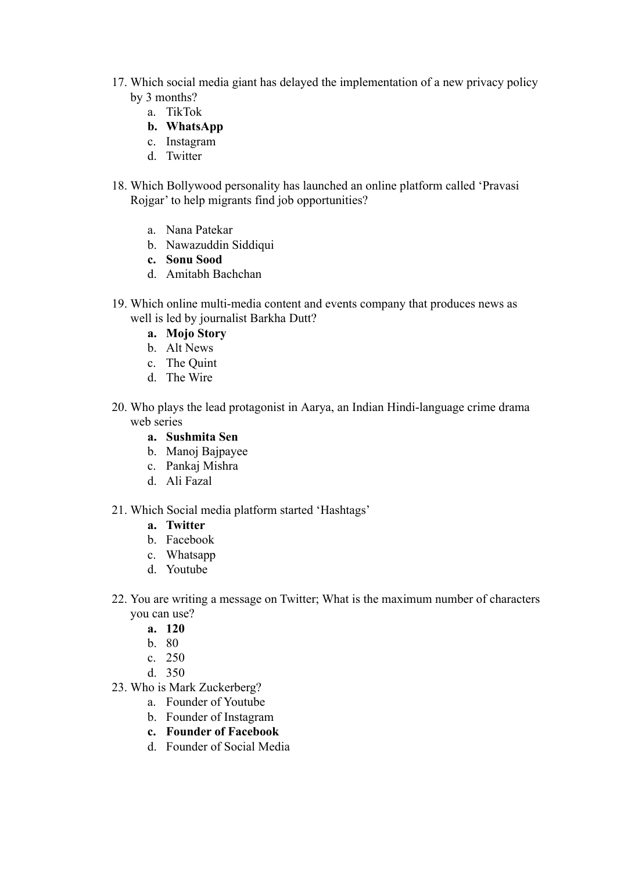- 17. Which social media giant has delayed the implementation of a new privacy policy by 3 months?
	- a. TikTok
	- **b. WhatsApp**
	- c. Instagram
	- d. Twitter
- 18. Which Bollywood personality has launched an online platform called 'Pravasi Rojgar' to help migrants find job opportunities?
	- a. Nana Patekar
	- b. Nawazuddin Siddiqui
	- **c. Sonu Sood**
	- d. Amitabh Bachchan
- 19. Which online multi-media content and events company that produces news as well is led by journalist Barkha Dutt?
	- **a. Mojo Story**
	- b. Alt News
	- c. The Quint
	- d. The Wire
- 20. Who plays the lead protagonist in Aarya, an Indian Hindi-language crime drama web series
	- **a. Sushmita Sen**
	- b. Manoj Bajpayee
	- c. Pankaj Mishra
	- d. Ali Fazal
- 21. Which Social media platform started 'Hashtags'
	- **a. Twitter**
	- b. Facebook
	- c. Whatsapp
	- d. Youtube
- 22. You are writing a message on Twitter; What is the maximum number of characters you can use?
	- **a. 120**
	- b. 80
	- c. 250
	- d. 350
- 23. Who is Mark Zuckerberg?
	- a. Founder of Youtube
	- b. Founder of Instagram
	- **c. Founder of Facebook**
	- d. Founder of Social Media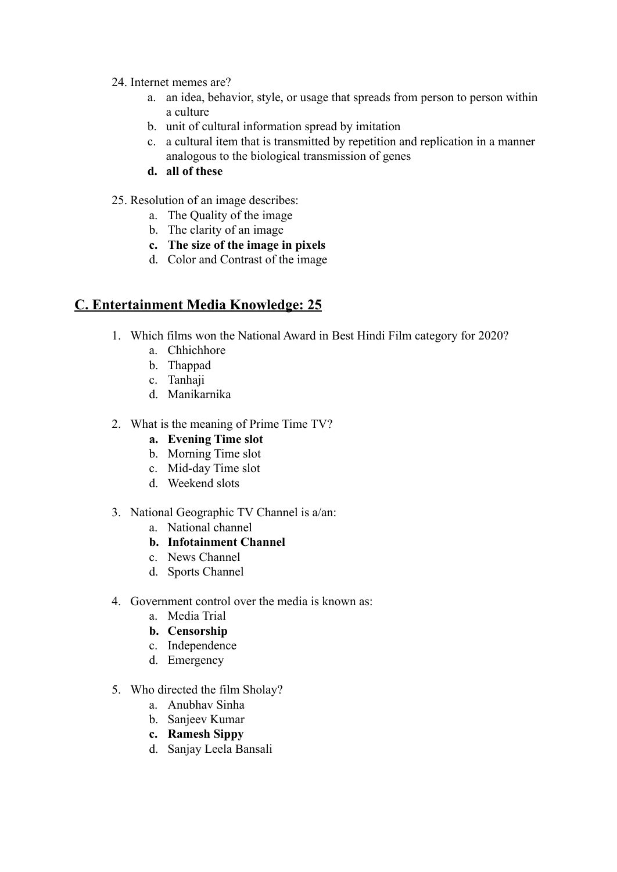- 24. Internet memes are?
	- a. an idea, behavior, style, or usage that spreads from person to person within a culture
	- b. unit of cultural information spread by imitation
	- c. a cultural item that is transmitted by repetition and replication in a manner analogous to the biological transmission of genes
	- **d. all of these**
- 25. Resolution of an image describes:
	- a. The Quality of the image
	- b. The clarity of an image
	- **c. The size of the image in pixels**
	- d. Color and Contrast of the image

## **C. Entertainment Media Knowledge: 25**

- 1. Which films won the National Award in Best Hindi Film category for 2020?
	- a. Chhichhore
	- b. Thappad
	- c. Tanhaji
	- d. Manikarnika
- 2. What is the meaning of Prime Time TV?
	- **a. Evening Time slot**
	- b. Morning Time slot
	- c. Mid-day Time slot
	- d. Weekend slots
- 3. National Geographic TV Channel is a/an:
	- a. National channel
	- **b. Infotainment Channel**
	- c. News Channel
	- d. Sports Channel
- 4. Government control over the media is known as:
	- a. Media Trial
	- **b. Censorship**
	- c. Independence
	- d. Emergency
- 5. Who directed the film Sholay?
	- a. Anubhav Sinha
	- b. Sanjeev Kumar
	- **c. Ramesh Sippy**
	- d. Sanjay Leela Bansali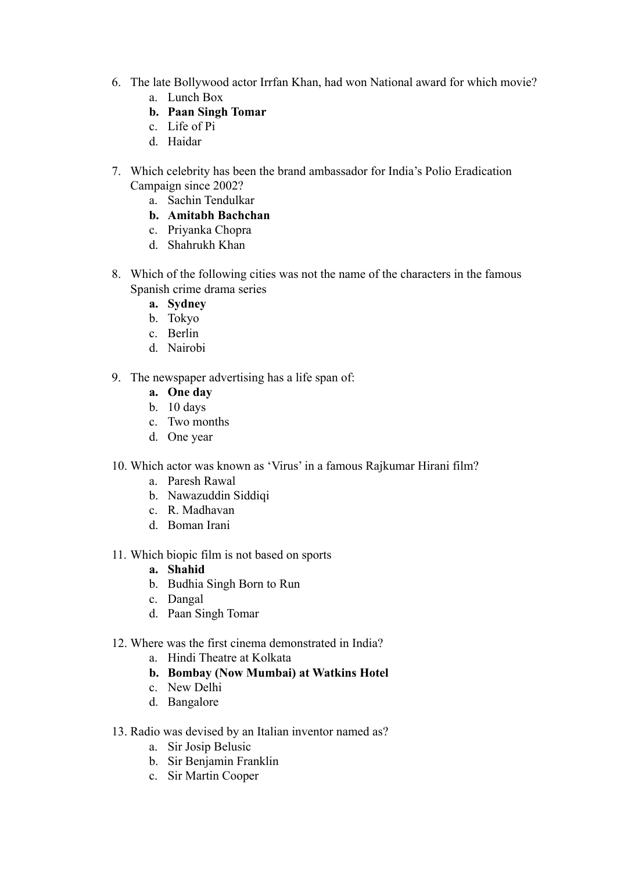- 6. The late Bollywood actor Irrfan Khan, had won National award for which movie?
	- a. Lunch Box
	- **b. Paan Singh Tomar**
	- c. Life of Pi
	- d. Haidar
- 7. Which celebrity has been the brand ambassador for India's Polio Eradication Campaign since 2002?
	- a. Sachin Tendulkar
	- **b. Amitabh Bachchan**
	- c. Priyanka Chopra
	- d. Shahrukh Khan
- 8. Which of the following cities was not the name of the characters in the famous Spanish crime drama series
	- **a. Sydney**
	- b. Tokyo
	- c. Berlin
	- d. Nairobi
- 9. The newspaper advertising has a life span of:
	- **a. One day**
	- b. 10 days
	- c. Two months
	- d. One year
- 10. Which actor was known as 'Virus' in a famous Rajkumar Hirani film?
	- a. Paresh Rawal
	- b. Nawazuddin Siddiqi
	- c. R. Madhavan
	- d. Boman Irani
- 11. Which biopic film is not based on sports
	- **a. Shahid**
	- b. Budhia Singh Born to Run
	- c. Dangal
	- d. Paan Singh Tomar
- 12. Where was the first cinema demonstrated in India?
	- a. Hindi Theatre at Kolkata
	- **b. Bombay (Now Mumbai) at Watkins Hotel**
	- c. New Delhi
	- d. Bangalore
- 13. Radio was devised by an Italian inventor named as?
	- a. Sir Josip Belusic
	- b. Sir Benjamin Franklin
	- c. Sir Martin Cooper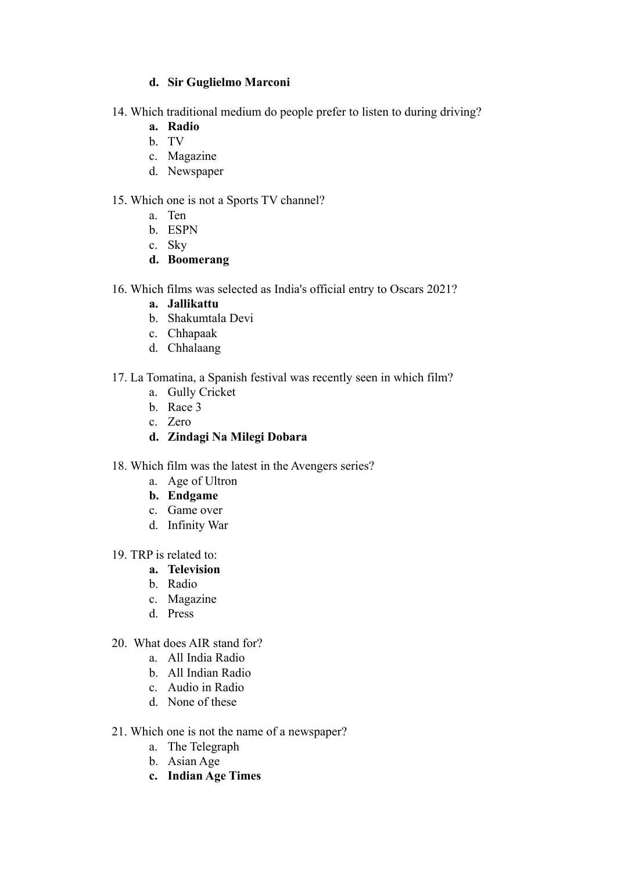#### **d. Sir Guglielmo Marconi**

- 14. Which traditional medium do people prefer to listen to during driving?
	- **a. Radio**
	- b. TV
	- c. Magazine
	- d. Newspaper

#### 15. Which one is not a Sports TV channel?

- a. Ten
	- b. ESPN
	- c. Sky
	- **d. Boomerang**
- 16. Which films was selected as India's official entry to Oscars 2021?
	- **a. Jallikattu**
	- b. Shakumtala Devi
	- c. Chhapaak
	- d. Chhalaang
- 17. La Tomatina, a Spanish festival was recently seen in which film?
	- a. Gully Cricket
	- b. Race 3
	- c. Zero
	- **d. Zindagi Na Milegi Dobara**
- 18. Which film was the latest in the Avengers series?
	- a. Age of Ultron
	- **b. Endgame**
	- c. Game over
	- d. Infinity War
- 19. TRP is related to:
	- **a. Television**
	- b. Radio
	- c. Magazine
	- d. Press
- 20. What does AIR stand for?
	- a. All India Radio
	- b. All Indian Radio
	- c. Audio in Radio
	- d. None of these
- 21. Which one is not the name of a newspaper?
	- a. The Telegraph
	- b. Asian Age
	- **c. Indian Age Times**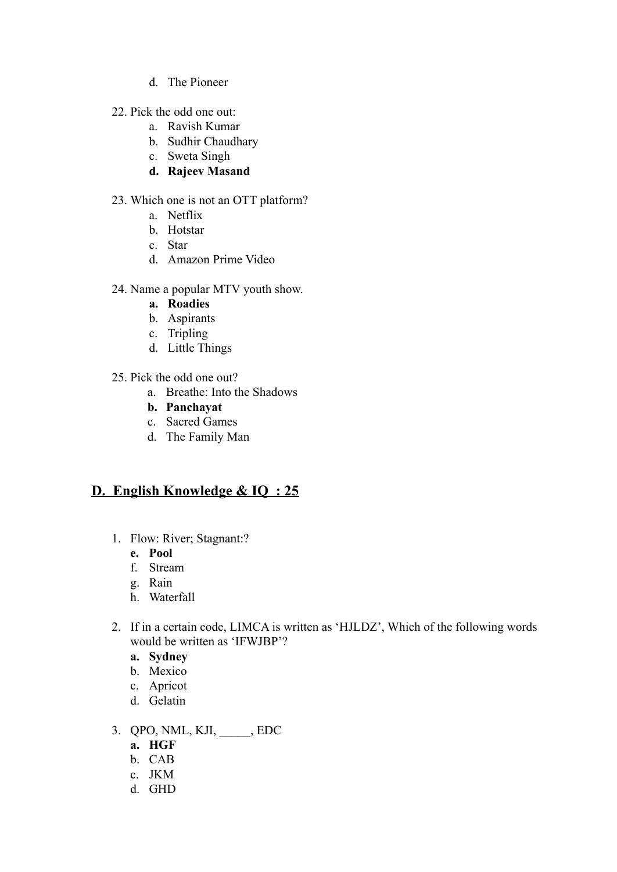- d. The Pioneer
- 22. Pick the odd one out:
	- a. Ravish Kumar
	- b. Sudhir Chaudhary
	- c. Sweta Singh
	- **d. Rajeev Masand**

#### 23. Which one is not an OTT platform?

- a. Netflix
- b. Hotstar
- c. Star
- d. Amazon Prime Video
- 24. Name a popular MTV youth show.
	- **a. Roadies**
	- b. Aspirants
	- c. Tripling
	- d. Little Things
- 25. Pick the odd one out?
	- a. Breathe: Into the Shadows
	- **b. Panchayat**
	- c. Sacred Games
	- d. The Family Man

## **D. English Knowledge & IQ : 25**

- 1. Flow: River; Stagnant:?
	- **e. Pool**
	- f. Stream
	- g. Rain
	- h. Waterfall
- 2. If in a certain code, LIMCA is written as 'HJLDZ', Which of the following words would be written as 'IFWJBP'?
	- **a. Sydney**
	- b. Mexico
	- c. Apricot
	- d. Gelatin
- 3. QPO, NML, KJI, \_\_\_\_\_, EDC
	- **a. HGF**
	- b. CAB
	- c. JKM
	- d. GHD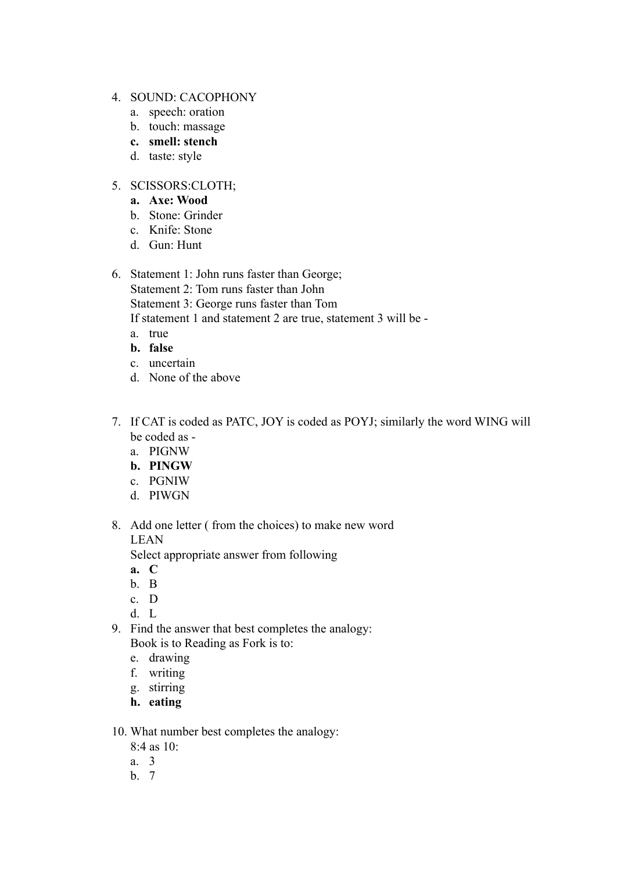- 4. SOUND: CACOPHONY
	- a. speech: oration
	- b. touch: massage
	- **c. smell: stench**
	- d. taste: style

#### 5. SCISSORS:CLOTH;

- **a. Axe: Wood**
- b. Stone: Grinder
- c. Knife: Stone
- d. Gun: Hunt
- 6. Statement 1: John runs faster than George; Statement 2: Tom runs faster than John Statement 3: George runs faster than Tom If statement 1 and statement 2 are true, statement 3 will be
	- a. true
	- **b. false**
	- c. uncertain
	- d. None of the above
- 7. If CAT is coded as PATC, JOY is coded as POYJ; similarly the word WING will be coded as
	- a. PIGNW
	- **b. PINGW**
	- c. PGNIW
	- d. PIWGN
- 8. Add one letter ( from the choices) to make new word LEAN

Select appropriate answer from following

- **a. C**
- b. B
- c. D
- d. L
- 9. Find the answer that best completes the analogy: Book is to Reading as Fork is to:
	- e. drawing
	- f. writing
	- g. stirring
	- **h. eating**
- 10. What number best completes the analogy:
	- 8:4 as 10:
	- a. 3
	- b. 7